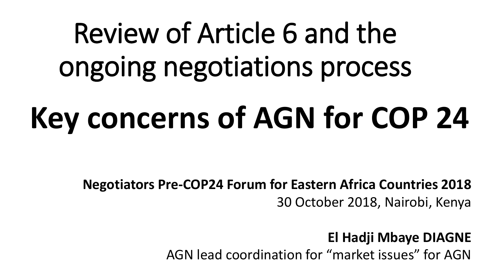# Review of Article 6 and the ongoing negotiations process **Key concerns of AGN for COP 24**

**Negotiators Pre-COP24 Forum for Eastern Africa Countries 2018** 30 October 2018, Nairobi, Kenya

> **El Hadji Mbaye DIAGNE** AGN lead coordination for "market issues" for AGN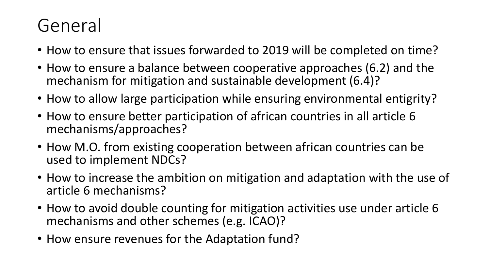#### General

- How to ensure that issues forwarded to 2019 will be completed on time?
- How to ensure a balance between cooperative approaches (6.2) and the mechanism for mitigation and sustainable development (6.4)?
- How to allow large participation while ensuring environmental entigrity?
- How to ensure better participation of african countries in all article 6 mechanisms/approaches?
- How M.O. from existing cooperation between african countries can be used to implement NDCs?
- How to increase the ambition on mitigation and adaptation with the use of article 6 mechanisms?
- How to avoid double counting for mitigation activities use under article 6 mechanisms and other schemes (e.g. ICAO)?
- How ensure revenues for the Adaptation fund?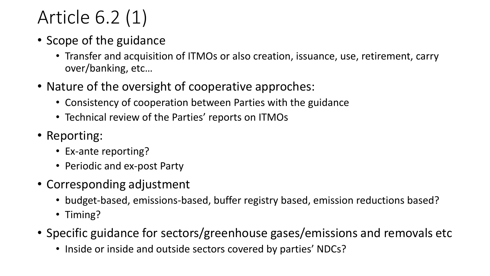## Article 6.2 (1)

- Scope of the guidance
	- Transfer and acquisition of ITMOs or also creation, issuance, use, retirement, carry over/banking, etc…
- Nature of the oversight of cooperative approches:
	- Consistency of cooperation between Parties with the guidance
	- Technical review of the Parties' reports on ITMOs
- Reporting:
	- Ex-ante reporting?
	- Periodic and ex-post Party
- Corresponding adjustment
	- budget-based, emissions-based, buffer registry based, emission reductions based?
	- Timing?
- Specific guidance for sectors/greenhouse gases/emissions and removals etc
	- Inside or inside and outside sectors covered by parties' NDCs?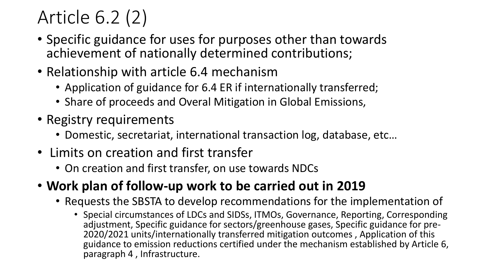## Article 6.2 (2)

- Specific guidance for uses for purposes other than towards achievement of nationally determined contributions;
- Relationship with article 6.4 mechanism
	- Application of guidance for 6.4 ER if internationally transferred;
	- Share of proceeds and Overal Mitigation in Global Emissions,
- Registry requirements
	- Domestic, secretariat, international transaction log, database, etc…
- Limits on creation and first transfer
	- On creation and first transfer, on use towards NDCs
- **Work plan of follow-up work to be carried out in 2019**
	- Requests the SBSTA to develop recommendations for the implementation of
		- Special circumstances of LDCs and SIDSs, ITMOs, Governance, Reporting, Corresponding adjustment, Specific guidance for sectors/greenhouse gases, Specific guidance for pre-2020/2021 units/internationally transferred mitigation outcomes , Application of this guidance to emission reductions certified under the mechanism established by Article 6, paragraph 4 , Infrastructure.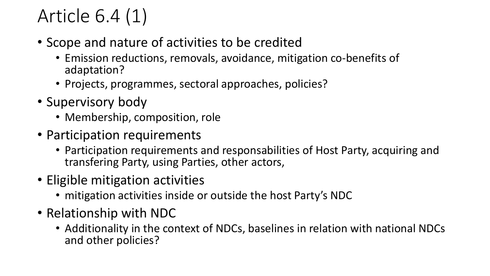#### Article 6.4 (1)

- Scope and nature of activities to be credited
	- Emission reductions, removals, avoidance, mitigation co-benefits of adaptation?
	- Projects, programmes, sectoral approaches, policies?
- Supervisory body
	- Membership, composition, role
- Participation requirements
	- Participation requirements and responsabilities of Host Party, acquiring and transfering Party, using Parties, other actors,
- Eligible mitigation activities
	- mitigation activities inside or outside the host Party's NDC
- Relationship with NDC
	- Additionality in the context of NDCs, baselines in relation with national NDCs and other policies?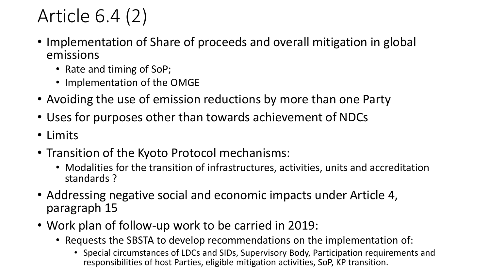## Article 6.4 (2)

- Implementation of Share of proceeds and overall mitigation in global emissions
	- Rate and timing of SoP;
	- Implementation of the OMGE
- Avoiding the use of emission reductions by more than one Party
- Uses for purposes other than towards achievement of NDCs
- Limits
- Transition of the Kyoto Protocol mechanisms:
	- Modalities for the transition of infrastructures, activities, units and accreditation standards ?
- Addressing negative social and economic impacts under Article 4, paragraph 15
- Work plan of follow-up work to be carried in 2019:
	- Requests the SBSTA to develop recommendations on the implementation of:
		- Special circumstances of LDCs and SIDs, Supervisory Body, Participation requirements and responsibilities of host Parties, eligible mitigation activities, SoP, KP transition.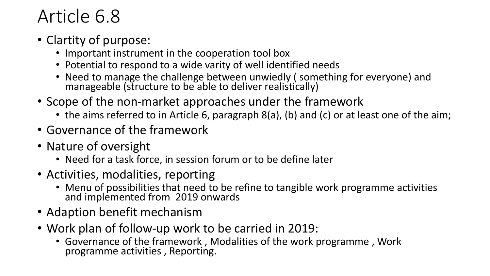#### Article 6.8

- Clartity of purpose:
	- Important instrument in the cooperation tool box
	- Potential to respond to a wide varity of well identified needs
	- Need to manage the challenge between unwiedly (something for everyone) and manageable (structure to be able to deliver realistically)
- Scope of the non-market approaches under the framework
	- the aims referred to in Article 6, paragraph 8(a), (b) and (c) or at least one of the aim;
- Governance of the framework
- Nature of oversight
	- Need for a task force, in session forum or to be define later
- Activities, modalities, reporting
	- Menu of possibilities that need to be refine to tangible work programme activities and implemented from 2019 onwards
- Adaption benefit mechanism
- Work plan of follow-up work to be carried in 2019:
	- Governance of the framework , Modalities of the work programme , Work programme activities, Reporting.